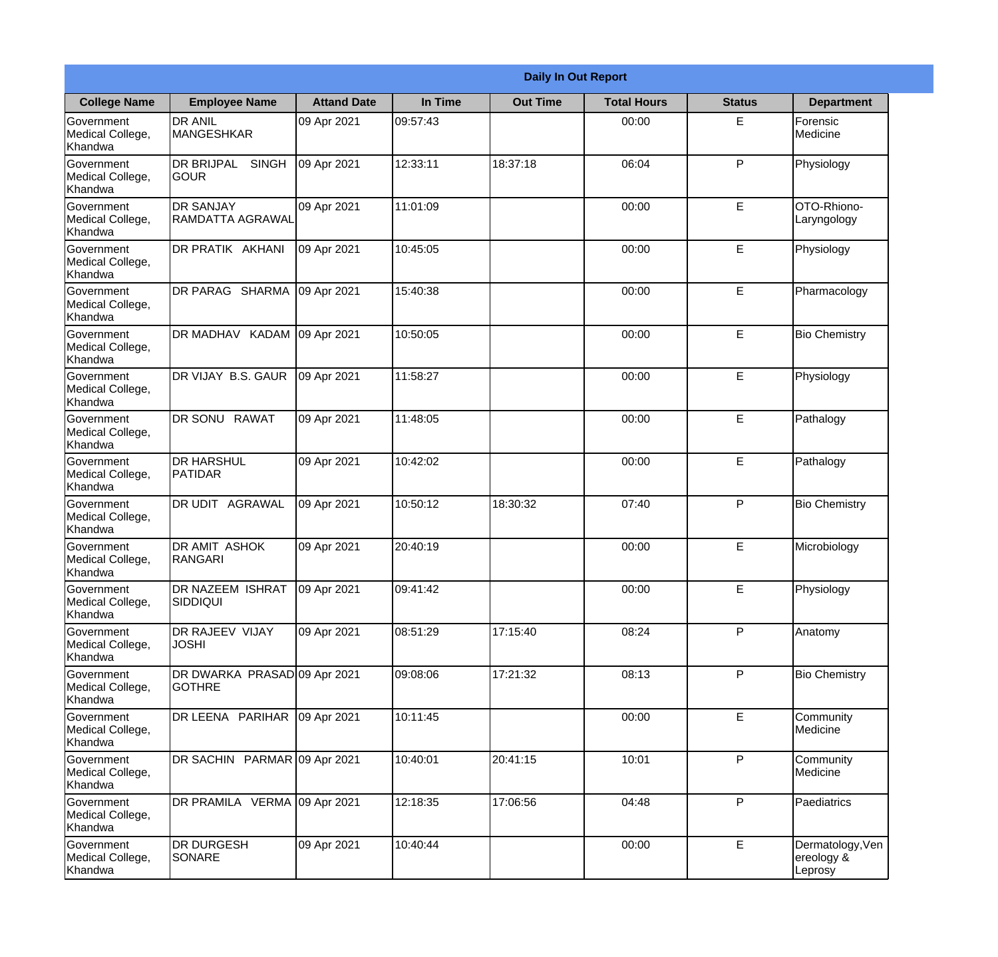|                                           |                                               |                    |          | <b>Daily In Out Report</b> |                    |               |                                           |
|-------------------------------------------|-----------------------------------------------|--------------------|----------|----------------------------|--------------------|---------------|-------------------------------------------|
| <b>College Name</b>                       | <b>Employee Name</b>                          | <b>Attand Date</b> | In Time  | <b>Out Time</b>            | <b>Total Hours</b> | <b>Status</b> | <b>Department</b>                         |
| Government<br>Medical College,<br>Khandwa | <b>DR ANIL</b><br><b>MANGESHKAR</b>           | 09 Apr 2021        | 09:57:43 |                            | 00:00              | E             | Forensic<br>Medicine                      |
| Government<br>Medical College,<br>Khandwa | DR BRIJPAL<br><b>SINGH</b><br><b>GOUR</b>     | 09 Apr 2021        | 12:33:11 | 18:37:18                   | 06:04              | P             | Physiology                                |
| Government<br>Medical College,<br>Khandwa | <b>DR SANJAY</b><br>RAMDATTA AGRAWAL          | 09 Apr 2021        | 11:01:09 |                            | 00:00              | E             | OTO-Rhiono-<br>Laryngology                |
| Government<br>Medical College,<br>Khandwa | DR PRATIK AKHANI                              | 09 Apr 2021        | 10:45:05 |                            | 00:00              | E             | Physiology                                |
| Government<br>Medical College,<br>Khandwa | DR PARAG SHARMA                               | 09 Apr 2021        | 15:40:38 |                            | 00:00              | E             | Pharmacology                              |
| Government<br>Medical College,<br>Khandwa | DR MADHAV KADAM                               | 09 Apr 2021        | 10:50:05 |                            | 00:00              | E             | <b>Bio Chemistry</b>                      |
| Government<br>Medical College,<br>Khandwa | DR VIJAY B.S. GAUR                            | 09 Apr 2021        | 11:58:27 |                            | 00:00              | E             | Physiology                                |
| Government<br>Medical College,<br>Khandwa | DR SONU RAWAT                                 | 09 Apr 2021        | 11:48:05 |                            | 00:00              | E             | Pathalogy                                 |
| Government<br>Medical College,<br>Khandwa | <b>DR HARSHUL</b><br>PATIDAR                  | 09 Apr 2021        | 10:42:02 |                            | 00:00              | E             | Pathalogy                                 |
| Government<br>Medical College,<br>Khandwa | DR UDIT AGRAWAL                               | 09 Apr 2021        | 10:50:12 | 18:30:32                   | 07:40              | P             | <b>Bio Chemistry</b>                      |
| Government<br>Medical College,<br>Khandwa | DR AMIT ASHOK<br><b>RANGARI</b>               | 09 Apr 2021        | 20:40:19 |                            | 00:00              | E             | Microbiology                              |
| Government<br>Medical College,<br>Khandwa | DR NAZEEM ISHRAT<br><b>SIDDIQUI</b>           | 09 Apr 2021        | 09:41:42 |                            | 00:00              | E             | Physiology                                |
| Government<br>Medical College,<br>Khandwa | DR RAJEEV VIJAY<br><b>JOSHI</b>               | 09 Apr 2021        | 08:51:29 | 17:15:40                   | 08:24              | P             | Anatomy                                   |
| Government<br>Medical College,<br>Khandwa | DR DWARKA PRASAD 09 Apr 2021<br><b>GOTHRE</b> |                    | 09:08:06 | 17:21:32                   | 08:13              | P             | <b>Bio Chemistry</b>                      |
| Government<br>Medical College,<br>Khandwa | DR LEENA PARIHAR                              | 09 Apr 2021        | 10:11:45 |                            | 00:00              | E             | Community<br>Medicine                     |
| Government<br>Medical College,<br>Khandwa | DR SACHIN PARMAR 09 Apr 2021                  |                    | 10:40:01 | 20:41:15                   | 10:01              | P             | Community<br>Medicine                     |
| Government<br>Medical College,<br>Khandwa | DR PRAMILA VERMA 09 Apr 2021                  |                    | 12:18:35 | 17:06:56                   | 04:48              | P             | Paediatrics                               |
| Government<br>Medical College,<br>Khandwa | DR DURGESH<br>SONARE                          | 09 Apr 2021        | 10:40:44 |                            | 00:00              | E             | Dermatology, Ven<br>ereology &<br>Leprosy |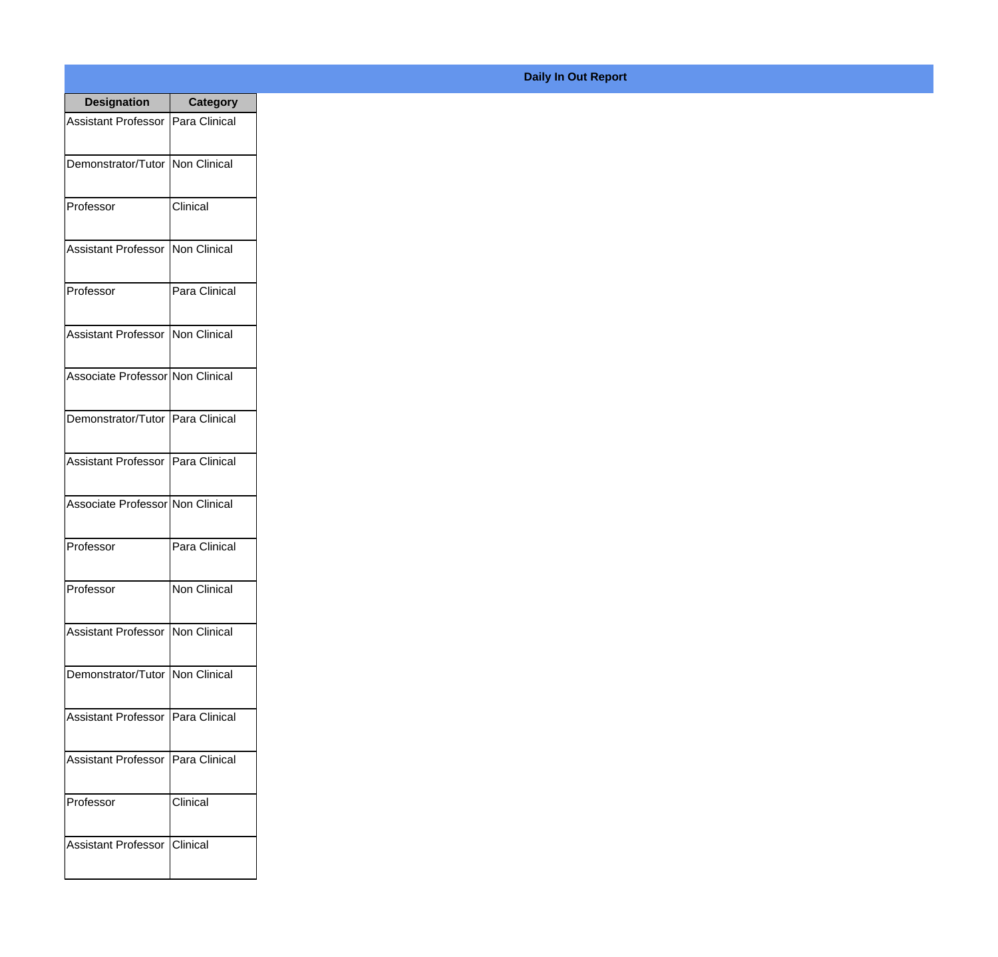| <b>Designation</b>                  | <b>Category</b>        |
|-------------------------------------|------------------------|
| Assistant Professor   Para Clinical |                        |
| Demonstrator/Tutor   Non Clinical   |                        |
| Professor                           | Clinical               |
| <b>Assistant Professor</b>          | Non Clinical           |
| Professor                           | Para Clinical          |
| Assistant Professor   Non Clinical  |                        |
| Associate Professor Non Clinical    |                        |
| Demonstrator/Tutor   Para Clinical  |                        |
| Assistant Professor   Para Clinical |                        |
| Associate Professor Non Clinical    |                        |
| Professor                           | Para Clinical          |
| Professor                           | Non Clinical           |
| Assistant Professor Non Clinical    |                        |
| Demonstrator/Tutor   Non Clinical   |                        |
| Assistant Professor                 | Para Clinical          |
| <b>Assistant Professor</b>          | Para Clinical          |
| Professor                           | Clinical               |
| Assistant Professor                 | <i><b>Clinical</b></i> |

## **Daily In Out Report**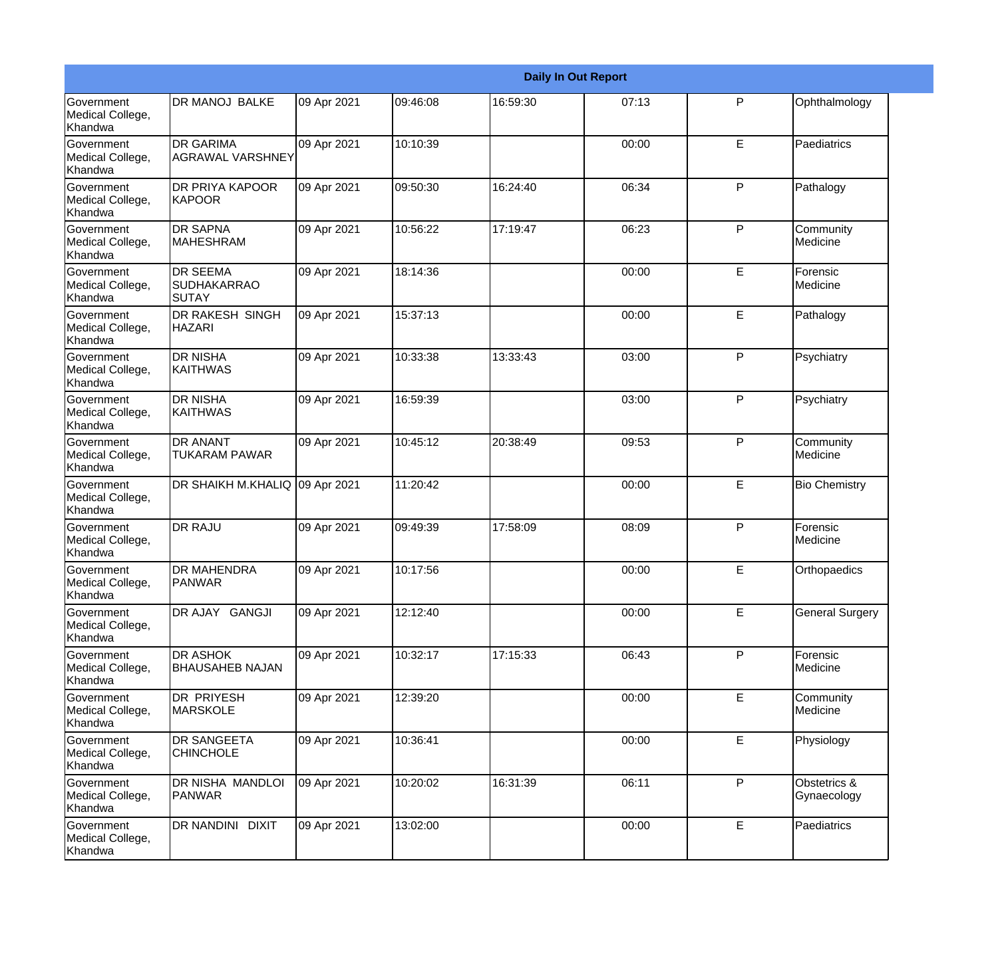|                                           |                                                |             |          |          | <b>Daily In Out Report</b> |   |                             |
|-------------------------------------------|------------------------------------------------|-------------|----------|----------|----------------------------|---|-----------------------------|
| Government<br>Medical College,<br>Khandwa | DR MANOJ BALKE                                 | 09 Apr 2021 | 09:46:08 | 16:59:30 | 07:13                      | P | Ophthalmology               |
| Government<br>Medical College,<br>Khandwa | <b>DR GARIMA</b><br><b>AGRAWAL VARSHNEY</b>    | 09 Apr 2021 | 10:10:39 |          | 00:00                      | E | Paediatrics                 |
| Government<br>Medical College,<br>Khandwa | <b>DR PRIYA KAPOOR</b><br><b>KAPOOR</b>        | 09 Apr 2021 | 09:50:30 | 16:24:40 | 06:34                      | P | Pathalogy                   |
| Government<br>Medical College,<br>Khandwa | <b>DR SAPNA</b><br><b>MAHESHRAM</b>            | 09 Apr 2021 | 10:56:22 | 17:19:47 | 06:23                      | P | Community<br>Medicine       |
| Government<br>Medical College,<br>Khandwa | <b>DR SEEMA</b><br><b>SUDHAKARRAO</b><br>SUTAY | 09 Apr 2021 | 18:14:36 |          | 00:00                      | E | Forensic<br>Medicine        |
| Government<br>Medical College,<br>Khandwa | <b>DR RAKESH SINGH</b><br><b>HAZARI</b>        | 09 Apr 2021 | 15:37:13 |          | 00:00                      | E | Pathalogy                   |
| Government<br>Medical College,<br>Khandwa | <b>DR NISHA</b><br><b>KAITHWAS</b>             | 09 Apr 2021 | 10:33:38 | 13:33:43 | 03:00                      | P | Psychiatry                  |
| Government<br>Medical College,<br>Khandwa | <b>DR NISHA</b><br><b>KAITHWAS</b>             | 09 Apr 2021 | 16:59:39 |          | 03:00                      | P | Psychiatry                  |
| Government<br>Medical College,<br>Khandwa | <b>DR ANANT</b><br><b>TUKARAM PAWAR</b>        | 09 Apr 2021 | 10:45:12 | 20:38:49 | 09:53                      | P | Community<br>Medicine       |
| Government<br>Medical College,<br>Khandwa | DR SHAIKH M.KHALIQ 09 Apr 2021                 |             | 11:20:42 |          | 00:00                      | E | <b>Bio Chemistry</b>        |
| Government<br>Medical College,<br>Khandwa | <b>DR RAJU</b>                                 | 09 Apr 2021 | 09:49:39 | 17:58:09 | 08:09                      | P | Forensic<br>Medicine        |
| Government<br>Medical College,<br>Khandwa | <b>DR MAHENDRA</b><br><b>PANWAR</b>            | 09 Apr 2021 | 10:17:56 |          | 00:00                      | E | Orthopaedics                |
| Government<br>Medical College,<br>Khandwa | DR AJAY GANGJI                                 | 09 Apr 2021 | 12:12:40 |          | 00:00                      | E | <b>General Surgery</b>      |
| Government<br>Medical College,<br>Khandwa | <b>DR ASHOK</b><br><b>BHAUSAHEB NAJAN</b>      | 09 Apr 2021 | 10:32:17 | 17:15:33 | 06:43                      | P | Forensic<br>Medicine        |
| Government<br>Medical College,<br>Khandwa | DR PRIYESH<br><b>MARSKOLE</b>                  | 09 Apr 2021 | 12:39:20 |          | 00:00                      | E | Community<br>Medicine       |
| Government<br>Medical College,<br>Khandwa | <b>DR SANGEETA</b><br><b>CHINCHOLE</b>         | 09 Apr 2021 | 10:36:41 |          | 00:00                      | E | Physiology                  |
| Government<br>Medical College,<br>Khandwa | DR NISHA MANDLOI<br><b>PANWAR</b>              | 09 Apr 2021 | 10:20:02 | 16:31:39 | 06:11                      | P | Obstetrics &<br>Gynaecology |
| Government<br>Medical College,<br>Khandwa | DR NANDINI DIXIT                               | 09 Apr 2021 | 13:02:00 |          | 00:00                      | E | Paediatrics                 |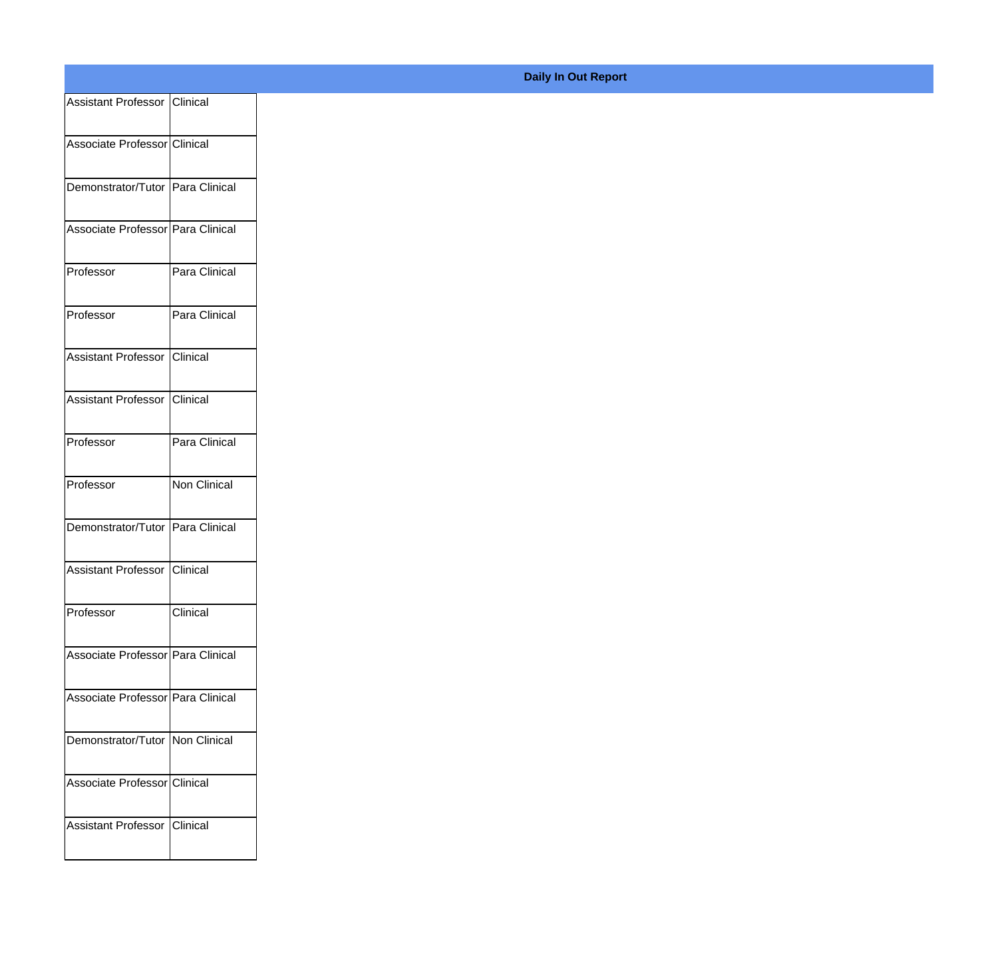| Assistant Professor Clinical      |               |
|-----------------------------------|---------------|
| Associate Professor Clinical      |               |
| Demonstrator/Tutor Para Clinical  |               |
| Associate Professor Para Clinical |               |
| Professor                         | Para Clinical |
| Professor                         | Para Clinical |
| Assistant Professor Clinical      |               |
| Assistant Professor   Clinical    |               |
| Professor                         | Para Clinical |
| Professor                         | Non Clinical  |
| Demonstrator/Tutor Para Clinical  |               |
| Assistant Professor Clinical      |               |
| Professor                         | Clinical      |
| Associate Professor Para Clinical |               |
| Associate Professor Para Clinical |               |
| Demonstrator/Tutor Non Clinical   |               |
| Associate Professor Clinical      |               |
| Assistant Professor Clinical      |               |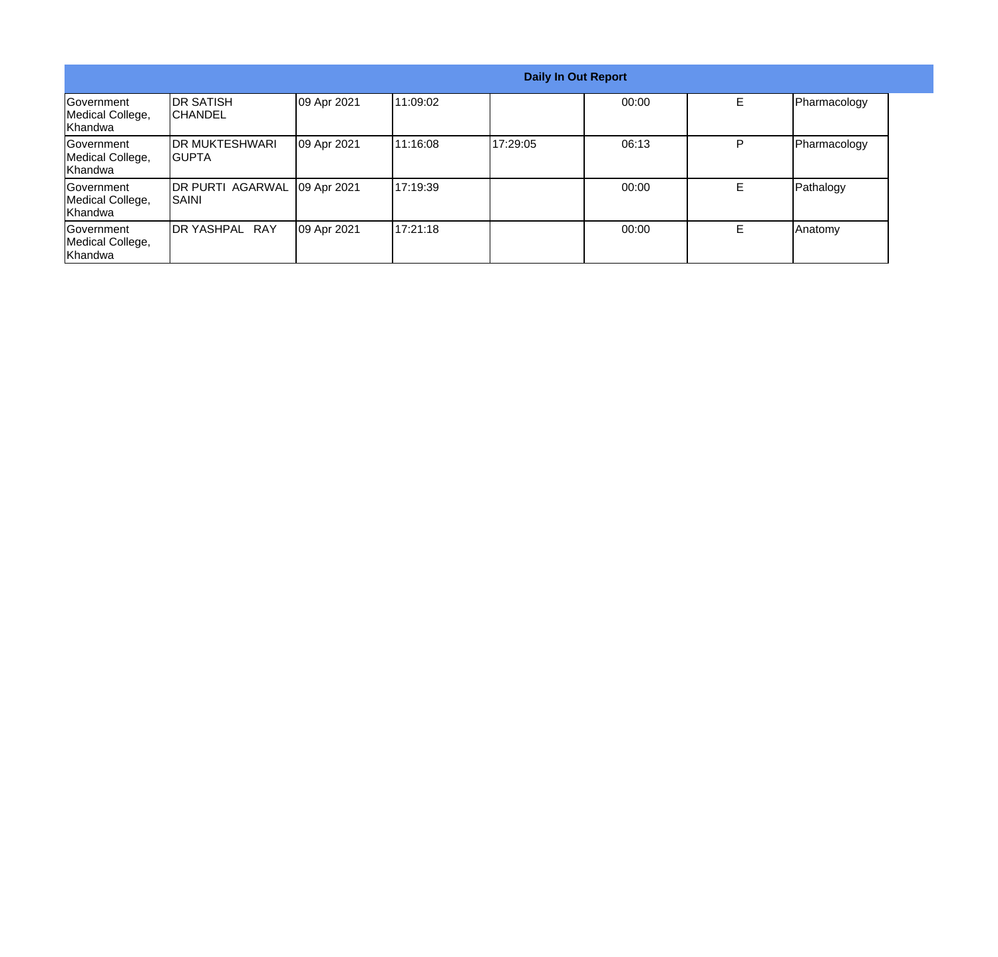|                                                   | <b>Daily In Out Report</b>              |             |          |          |       |    |              |
|---------------------------------------------------|-----------------------------------------|-------------|----------|----------|-------|----|--------------|
| Government<br>Medical College,<br><b>Khandwa</b>  | <b>IDR SATISH</b><br>ICHANDEL           | 09 Apr 2021 | 11:09:02 |          | 00:00 | E. | Pharmacology |
| <b>Sovernment</b><br>Medical College,<br>Khandwa  | <b>IDR MUKTESHWARI</b><br><b>IGUPTA</b> | 09 Apr 2021 | 11:16:08 | 17:29:05 | 06:13 | P  | Pharmacology |
| <b>IGovernment</b><br>Medical College,<br>Khandwa | DR PURTI AGARWAL<br>ISAINI              | 09 Apr 2021 | 17:19:39 |          | 00:00 | Е  | Pathalogy    |
| Government<br>Medical College,<br>Khandwa         | DR YASHPAL RAY                          | 09 Apr 2021 | 17:21:18 |          | 00:00 | E  | Anatomy      |